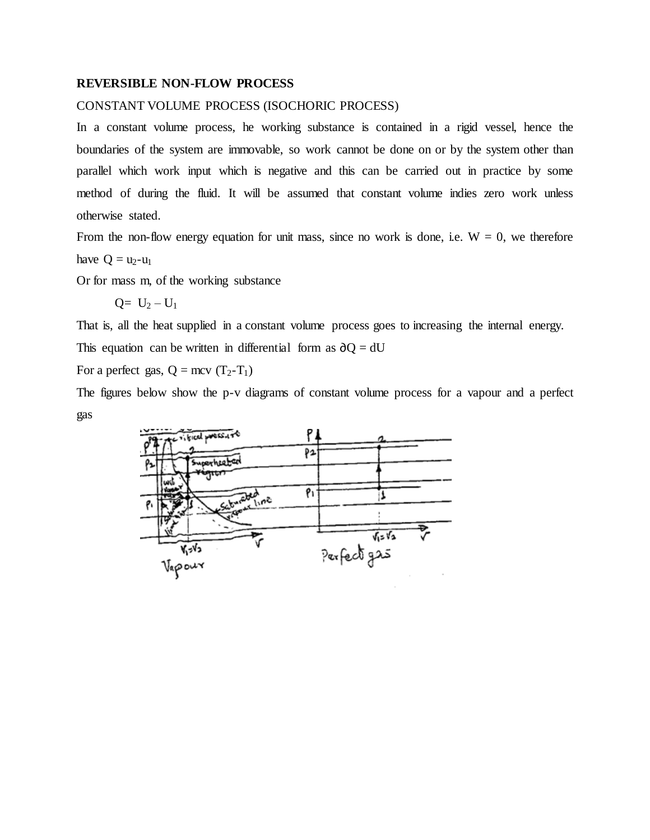## **REVERSIBLE NON-FLOW PROCESS**

## CONSTANT VOLUME PROCESS (ISOCHORIC PROCESS)

In a constant volume process, he working substance is contained in a rigid vessel, hence the boundaries of the system are immovable, so work cannot be done on or by the system other than parallel which work input which is negative and this can be carried out in practice by some method of during the fluid. It will be assumed that constant volume indies zero work unless otherwise stated.

From the non-flow energy equation for unit mass, since no work is done, i.e.  $W = 0$ , we therefore have  $Q = u_2-u_1$ 

Or for mass m, of the working substance

 $Q= U_2 - U_1$ 

That is, all the heat supplied in a constant volume process goes to increasing the internal energy.

This equation can be written in differential form as  $\partial Q = dU$ 

For a perfect gas,  $Q = mcv (T_2-T_1)$ 

The figures below show the p-v diagrams of constant volume process for a vapour and a perfect gas

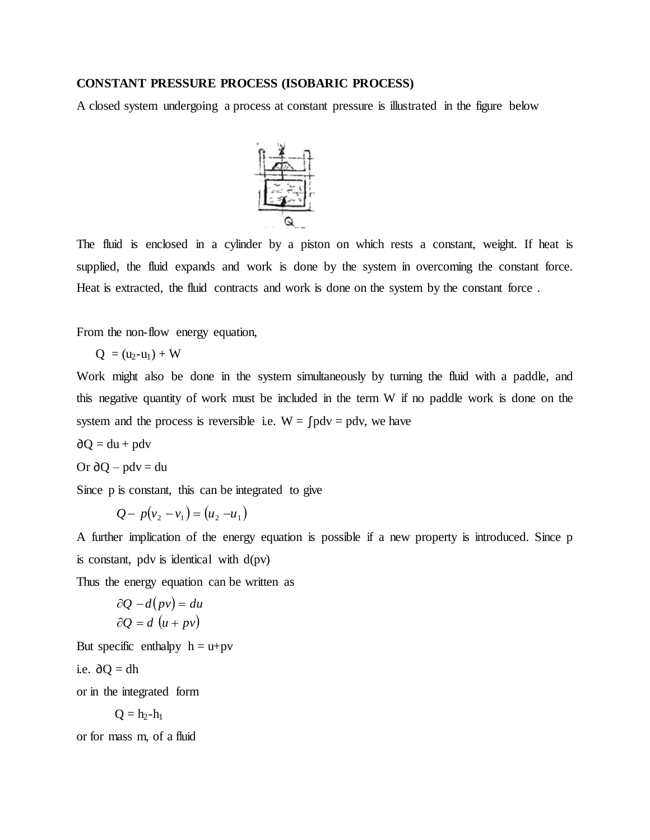## **CONSTANT PRESSURE PROCESS (ISOBARIC PROCESS)**

A closed system undergoing a process at constant pressure is illustrated in the figure below



The fluid is enclosed in a cylinder by a piston on which rests a constant, weight. If heat is supplied, the fluid expands and work is done by the system in overcoming the constant force. Heat is extracted, the fluid contracts and work is done on the system by the constant force.

From the non-flow energy equation,

$$
Q = (u_2 - u_1) + W
$$

Work might also be done in the system simultaneously by turning the fluid with a paddle, and this negative quantity of work must be included in the term W if no paddle work is done on the system and the process is reversible i.e.  $W = \int pdv = pdv$ , we have

 $\partial Q = du + p dv$ 

Or 
$$
\partial Q - pdv = du
$$

Since p is constant, this can be integrated to give

$$
Q - p(v_2 - v_1) = (u_2 - u_1)
$$

A further implication of the energy equation is possible if a new property is introduced. Since p is constant, pdv is identical with  $d(pv)$ 

Thus the energy equation can be written as

$$
\partial Q - d(pv) = du
$$
  

$$
\partial Q = d (u + pv)
$$

But specific enthalpy  $h = u + pv$ 

i.e. 
$$
\partial Q = dh
$$

or in the integrated form

$$
Q=h_2\hbox{-} h_1
$$

or for mass m, of a fluid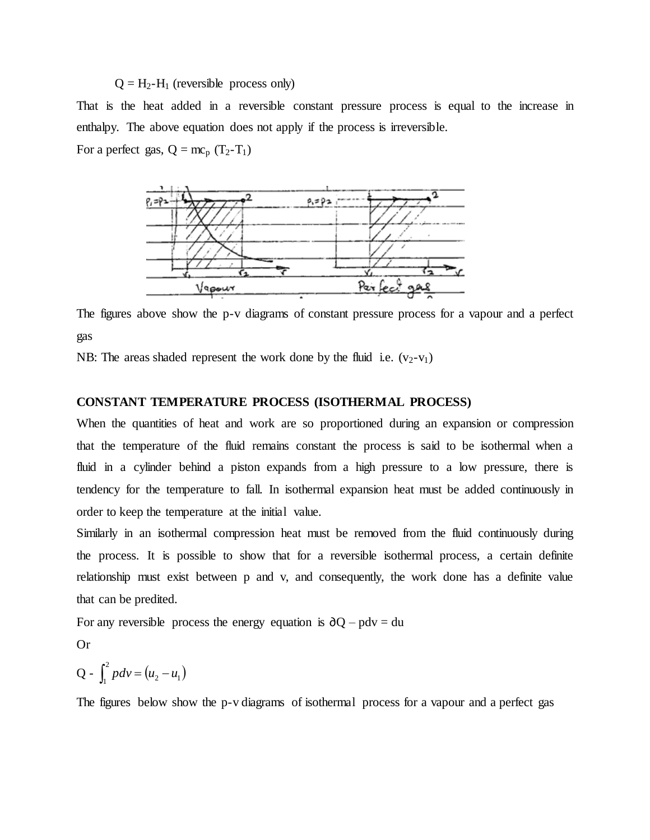# $Q = H_2-H_1$  (reversible process only)

That is the heat added in a reversible constant pressure process is equal to the increase in enthalpy. The above equation does not apply if the process is irreversible.

For a perfect gas,  $Q = mc_p (T_2-T_1)$ 



The figures above show the p-v diagrams of constant pressure process for a vapour and a perfect gas

NB: The areas shaded represent the work done by the fluid i.e.  $(v_2-v_1)$ 

## **CONSTANT TEMPERATURE PROCESS (ISOTHERMAL PROCESS)**

When the quantities of heat and work are so proportioned during an expansion or compression that the temperature of the fluid remains constant the process is said to be isothermal when a fluid in a cylinder behind a piston expands from a high pressure to a low pressure, there is tendency for the temperature to fall. In isothermal expansion heat must be added continuously in order to keep the temperature at the initial value.

Similarly in an isothermal compression heat must be removed from the fluid continuously during the process. It is possible to show that for a reversible isothermal process, a certain definite relationship must exist between p and v, and consequently, the work done has a definite value that can be predited.

For any reversible process the energy equation is  $\partial Q - \rho dv = du$ 

Or

$$
Q - \int_1^2 pdv = (u_2 - u_1)
$$

The figures below show the p-v diagrams of isothermal process for a vapour and a perfect gas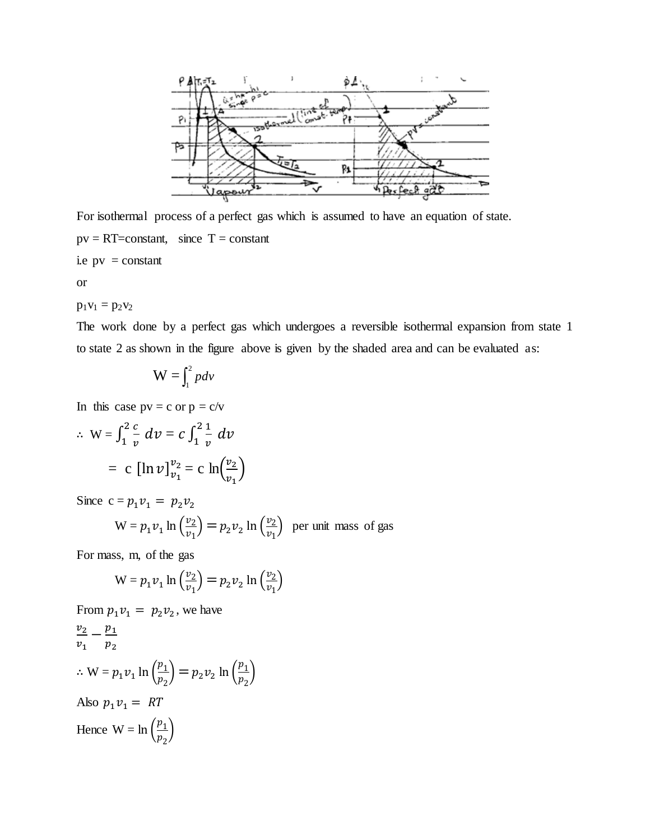

For isothermal process of a perfect gas which is assumed to have an equation of state.  $pv = RT = constant$ , since  $T = constant$ i.e  $pv = constant$ 

or

 $p_1v_1 = p_2v_2$ 

The work done by a perfect gas which undergoes a reversible isothermal expansion from state 1 to state 2 as shown in the figure above is given by the shaded area and can be evaluated as:

$$
W=\int_1^2 pdv
$$

In this case  $pv = c$  or  $p = c/v$ 

$$
\therefore \ W = \int_{1}^{2} \frac{c}{v} \ dv = c \int_{1}^{2} \frac{1}{v} \ dv
$$

$$
= c \ [\ln v]_{v_1}^{v_2} = c \ \ln \left( \frac{v_2}{v_1} \right)
$$

Since  $c = p_1 v_1 = p_2 v_2$ 

$$
W = p_1 v_1 \ln \left(\frac{v_2}{v_1}\right) = p_2 v_2 \ln \left(\frac{v_2}{v_1}\right)
$$
 per unit mass of gas

For mass, m, of the gas

$$
W = p_1 v_1 \ln \left(\frac{v_2}{v_1}\right) = p_2 v_2 \ln \left(\frac{v_2}{v_1}\right)
$$

From 
$$
p_1 v_1 = p_2 v_2
$$
, we have  
\n
$$
\frac{v_2}{v_1} - \frac{p_1}{p_2}
$$
\n
$$
\therefore W = p_1 v_1 \ln \left(\frac{p_1}{p_2}\right) = p_2 v_2 \ln \left(\frac{p_1}{p_2}\right)
$$
\nAlso  $p_1 v_1 = RT$   
\nHence  $W = \ln \left(\frac{p_1}{p_2}\right)$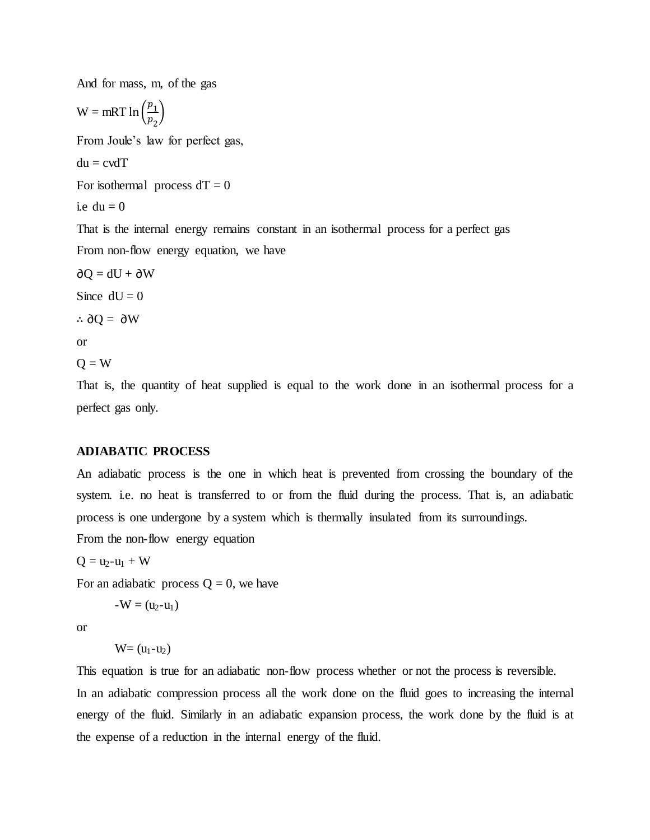And for mass, m, of the gas

 $W = mRT \ln \left(\frac{p}{p}\right)$  $\frac{p_1}{p_2}$ 

From Joule's law for perfect gas,

 $du = cvdT$ 

For isothermal process  $dT = 0$ 

i.e.  $du = 0$ .

That is the internal energy remains constant in an isothermal process for a perfect gas From non-flow energy equation, we have

 $\partial Q = dU + \partial W$ 

Since  $dU = 0$ 

∴ $\partial$ O =  $\partial$ W

or

 $Q = W$ 

That is, the quantity of heat supplied is equal to the work done in an isothermal process for a perfect gas only.

## **ADIABATIC PROCESS**

An adiabatic process is the one in which heat is prevented from crossing the boundary of the system. i.e. no heat is transferred to or from the fluid during the process. That is, an adiabatic process is one undergone by a system which is thermally insulated from its surroundings.

From the non-flow energy equation

 $Q = u_2 - u_1 + W$ 

For an adiabatic process  $Q = 0$ , we have

$$
\text{-}W = (u_2\text{-}u_1)
$$

or

 $W=(u_1-u_2)$ 

This equation is true for an adiabatic non-flow process whether or not the process is reversible.

In an adiabatic compression process all the work done on the fluid goes to increasing the internal energy of the fluid. Similarly in an adiabatic expansion process, the work done by the fluid is at the expense of a reduction in the internal energy of the fluid.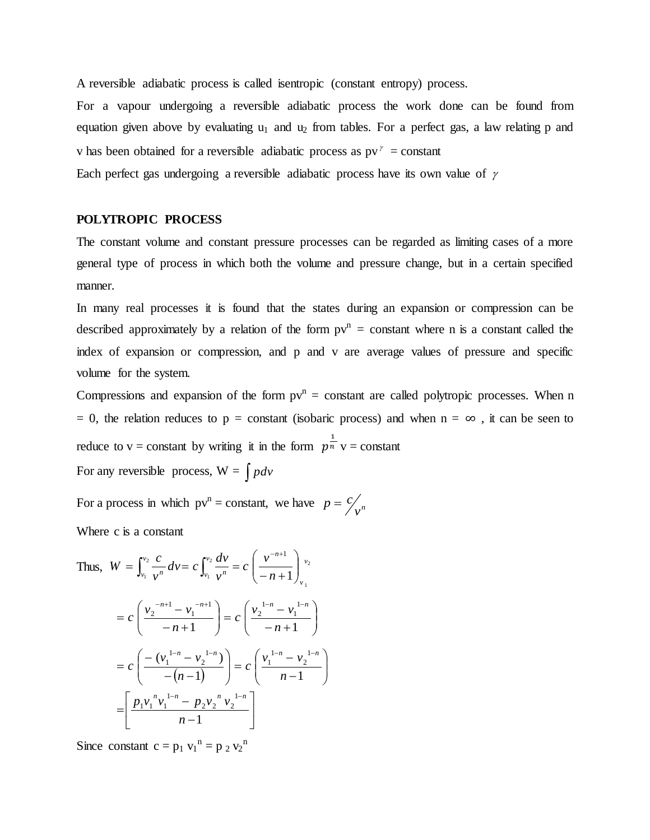A reversible adiabatic process is called isentropic (constant entropy) process.

For a vapour undergoing a reversible adiabatic process the work done can be found from equation given above by evaluating  $u_1$  and  $u_2$  from tables. For a perfect gas, a law relating p and v has been obtained for a reversible adiabatic process as  $pv^{\gamma} = constant$ 

Each perfect gas undergoing a reversible adiabatic process have its own value of  $\gamma$ 

#### **POLYTROPIC PROCESS**

The constant volume and constant pressure processes can be regarded as limiting cases of a more general type of process in which both the volume and pressure change, but in a certain specified manner.

In many real processes it is found that the states during an expansion or compression can be described approximately by a relation of the form  $pv<sup>n</sup> = constant$  where n is a constant called the index of expansion or compression, and p and v are average values of pressure and specific volume for the system.

Compressions and expansion of the form  $pv<sup>n</sup> = constant$  are called polytropic processes. When n = 0, the relation reduces to p = constant (isobaric process) and when  $n = \infty$ , it can be seen to reduce to v = constant by writing it in the form  $p^{\frac{1}{n}}$  v = constant For any reversible process,  $W = \int pdv$ 

For a process in which  $pv^n = constant$ , we have  $p = c/v^n$ 

Where c is a constant

Thus, 
$$
W = \int_{v_1}^{v_2} \frac{c}{v^n} dv = c \int_{v_1}^{v_2} \frac{dv}{v^n} = c \left( \frac{v^{-n+1}}{-n+1} \right)_{v_1}^{v_2}
$$
  
\n
$$
= c \left( \frac{v_2^{-n+1} - v_1^{-n+1}}{-n+1} \right) = c \left( \frac{v_2^{-1-n} - v_1^{-1-n}}{-n+1} \right)
$$
\n
$$
= c \left( \frac{- (v_1^{-1-n} - v_2^{-1-n})}{-(n-1)} \right) = c \left( \frac{v_1^{-1-n} - v_2^{-1-n}}{n-1} \right)
$$
\n
$$
= \left[ \frac{p_1 v_1^{n} v_1^{-1-n} - p_2 v_2^{n} v_2^{-1-n}}{n-1} \right]
$$

Since constant  $c = p_1 v_1^n = p_2 v_2^n$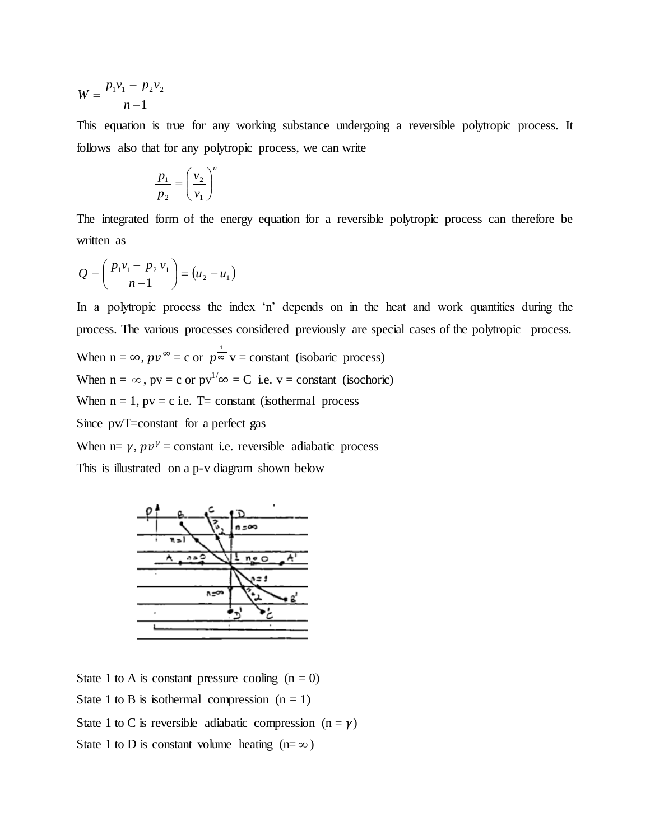$$
W = \frac{p_1 v_1 - p_2 v_2}{n - 1}
$$

This equation is true for any working substance undergoing a reversible polytropic process. It follows also that for any polytropic process, we can write

$$
\frac{p_1}{p_2} = \left(\frac{v_2}{v_1}\right)^n
$$

The integrated form of the energy equation for a reversible polytropic process can therefore be written as

$$
Q - \left(\frac{p_1v_1 - p_2v_1}{n-1}\right) = (u_2 - u_1)
$$

In a polytropic process the index 'n' depends on in the heat and work quantities during the process. The various processes considered previously are special cases of the polytropic process.

When  $n = \infty$ ,  $pv^{\infty} = c$  or  $p^{\frac{1}{\infty}}v = constant$  (isobaric process) When  $n = \infty$ ,  $pv = c$  or  $pv^{1/\infty} = C$  i.e.  $v = constant$  (isochoric) When  $n = 1$ ,  $pv = c$  i.e. T= constant (isothermal process Since pv/T=constant for a perfect gas When  $n = \gamma$ ,  $pv^{\gamma} = constant$  i.e. reversible adiabatic process

This is illustrated on a p-v diagram shown below



State 1 to A is constant pressure cooling  $(n = 0)$ State 1 to B is isothermal compression  $(n = 1)$ State 1 to C is reversible adiabatic compression  $(n = \gamma)$ State 1 to D is constant volume heating  $(n = \infty)$